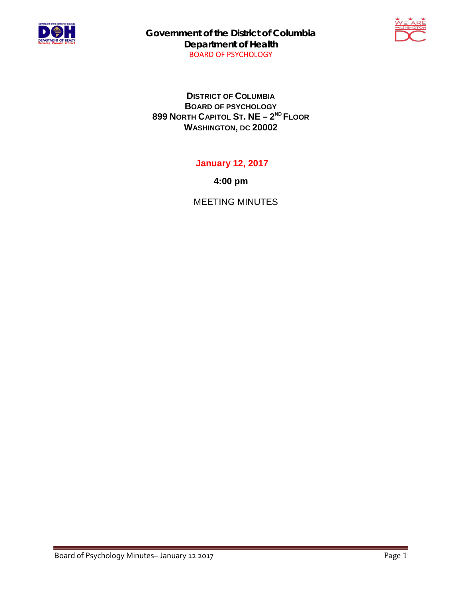

**Government of the District of Columbia Department of Health** BOARD OF PSYCHOLOGY



**DISTRICT OF COLUMBIA BOARD OF PSYCHOLOGY 899 NORTH CAPITOL ST. NE – 2ND FLOOR WASHINGTON, DC 20002**

**January 12, 2017**

**4:00 pm**

MEETING MINUTES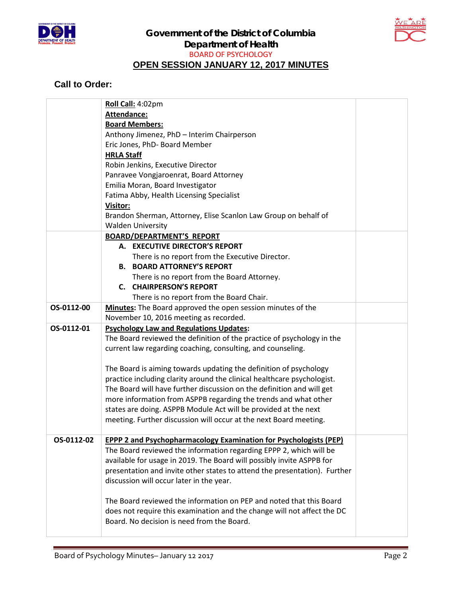



## **Call to Order:**

|            | Roll Call: 4:02pm                                                         |  |
|------------|---------------------------------------------------------------------------|--|
|            | Attendance:                                                               |  |
|            | <b>Board Members:</b>                                                     |  |
|            | Anthony Jimenez, PhD - Interim Chairperson                                |  |
|            | Eric Jones, PhD- Board Member                                             |  |
|            | <b>HRLA Staff</b>                                                         |  |
|            | Robin Jenkins, Executive Director                                         |  |
|            | Panravee Vongjaroenrat, Board Attorney                                    |  |
|            | Emilia Moran, Board Investigator                                          |  |
|            | Fatima Abby, Health Licensing Specialist                                  |  |
|            | Visitor:                                                                  |  |
|            | Brandon Sherman, Attorney, Elise Scanlon Law Group on behalf of           |  |
|            | <b>Walden University</b>                                                  |  |
|            | <b>BOARD/DEPARTMENT'S REPORT</b>                                          |  |
|            | A. EXECUTIVE DIRECTOR'S REPORT                                            |  |
|            | There is no report from the Executive Director.                           |  |
|            | <b>B. BOARD ATTORNEY'S REPORT</b>                                         |  |
|            | There is no report from the Board Attorney.                               |  |
|            | <b>C. CHAIRPERSON'S REPORT</b>                                            |  |
|            | There is no report from the Board Chair.                                  |  |
| OS-0112-00 | Minutes: The Board approved the open session minutes of the               |  |
|            | November 10, 2016 meeting as recorded.                                    |  |
| OS-0112-01 | <b>Psychology Law and Regulations Updates:</b>                            |  |
|            | The Board reviewed the definition of the practice of psychology in the    |  |
|            | current law regarding coaching, consulting, and counseling.               |  |
|            |                                                                           |  |
|            | The Board is aiming towards updating the definition of psychology         |  |
|            | practice including clarity around the clinical healthcare psychologist.   |  |
|            | The Board will have further discussion on the definition and will get     |  |
|            | more information from ASPPB regarding the trends and what other           |  |
|            | states are doing. ASPPB Module Act will be provided at the next           |  |
|            | meeting. Further discussion will occur at the next Board meeting.         |  |
|            |                                                                           |  |
| OS-0112-02 | <b>EPPP 2 and Psychopharmacology Examination for Psychologists (PEP)</b>  |  |
|            | The Board reviewed the information regarding EPPP 2, which will be        |  |
|            | available for usage in 2019. The Board will possibly invite ASPPB for     |  |
|            | presentation and invite other states to attend the presentation). Further |  |
|            | discussion will occur later in the year.                                  |  |
|            |                                                                           |  |
|            | The Board reviewed the information on PEP and noted that this Board       |  |
|            |                                                                           |  |
|            | does not require this examination and the change will not affect the DC   |  |
|            | Board. No decision is need from the Board.                                |  |